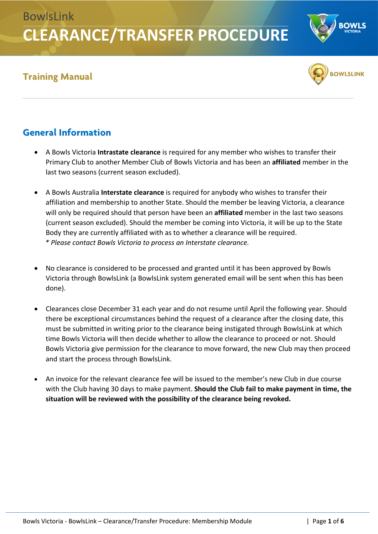#### **Training Manual**



### **General Information**

- A Bowls Victoria **Intrastate clearance** is required for any member who wishes to transfer their Primary Club to another Member Club of Bowls Victoria and has been an **affiliated** member in the last two seasons (current season excluded).
- A Bowls Australia **Interstate clearance** is required for anybody who wishes to transfer their affiliation and membership to another State. Should the member be leaving Victoria, a clearance will only be required should that person have been an **affiliated** member in the last two seasons (current season excluded). Should the member be coming into Victoria, it will be up to the State Body they are currently affiliated with as to whether a clearance will be required. *\* Please contact Bowls Victoria to process an Interstate clearance.*
- No clearance is considered to be processed and granted until it has been approved by Bowls Victoria through BowlsLink (a BowlsLink system generated email will be sent when this has been done).
- Clearances close December 31 each year and do not resume until April the following year. Should there be exceptional circumstances behind the request of a clearance after the closing date, this must be submitted in writing prior to the clearance being instigated through BowlsLink at which time Bowls Victoria will then decide whether to allow the clearance to proceed or not. Should Bowls Victoria give permission for the clearance to move forward, the new Club may then proceed and start the process through BowlsLink.
- An invoice for the relevant clearance fee will be issued to the member's new Club in due course with the Club having 30 days to make payment. **Should the Club fail to make payment in time, the situation will be reviewed with the possibility of the clearance being revoked.**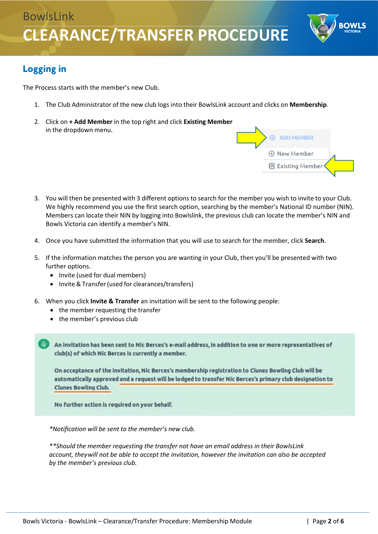

### **Logging in**

The Process starts with the member's new Club.

- 1. The Club Administrator of the new club logs into their BowlsLink account and clicks on **Membership**.
- 2. Click on **+ Add Member** in the top right and click **Existing Member** in the dropdown menu.



- 3. You will then be presented with 3 different options to search for the member you wish to invite to your Club. We highly recommend you use the first search option, searching by the member's National ID number (NIN). Members can locate their NIN by logging into Bowlslink, the previous club can locate the member's NIN and Bowls Victoria can identify a member's NIN.
- 4. Once you have submitted the information that you will use to search for the member, click **Search**.
- 5. If the information matches the person you are wanting in your Club, then you'll be presented with two further options.
	- Invite (used for dual members)
	- Invite& Transfer(used for clearances/transfers)
- 6. When you click **Invite & Transfer** an invitation will be sent to the following people:
	- the member requesting the transfer
	- the member's previous club

An invitation has been sent to Nic Berces's e-mail address, in addition to one or more representatives of club(s) of which Nic Berces is currently a member.

On acceptance of the invitation, Nic Berces's membership registration to Clunes Bowling Club will be automatically approved and a request will be lodged to transfer Nic Berces's primary club designation to Clunes Bowling Club.

No further action is required on your behalf.

*\*Notification will be sent to the member's new club.*

*\*\*Should the member requesting the transfer not have an email address in their BowlsLink account, theywill not be able to accept the invitation, however the invitation can also be accepted by the member's previous club.*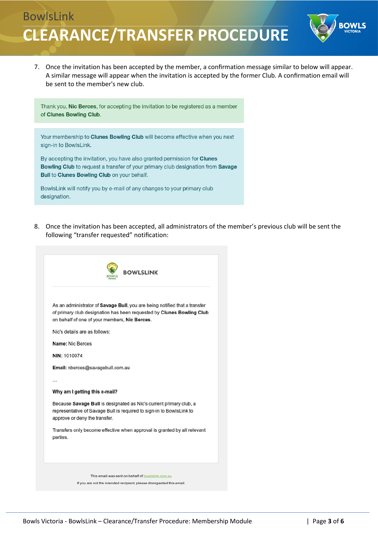

7. Once the invitation has been accepted by the member, a confirmation message similar to below will appear. A similar message will appear when the invitation is accepted by the former Club. A confirmation email will be sent to the member's new club.

Thank you, Nic Berces, for accepting the invitation to be registered as a member of Clunes Bowling Club. Your membership to Clunes Bowling Club will become effective when you next sign-in to BowlsLink. By accepting the invitation, you have also granted permission for Clunes Bowling Club to request a transfer of your primary club designation from Savage Bull to Clunes Bowling Club on your behalf. BowlsLink will notify you by e-mail of any changes to your primary club designation.

8. Once the invitation has been accepted, all administrators of the member's previous club will be sent the following "transfer requested" notification:

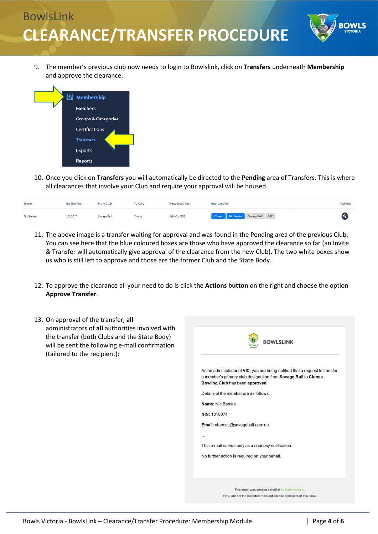

9. The member's previous club now needs to login to Bowlslink, click on **Transfers** underneath **Membership** and approve the clearance.



10. Once you click on **Transfers** you will automatically be directed to the **Pending** area of Transfers. This is where all clearances that involve your Club and require your approval will be housed.

| Name       | <b>BA</b> Number | From Club   | To Club | Requested On : | Approved By                       | Actions |
|------------|------------------|-------------|---------|----------------|-----------------------------------|---------|
| Nic Berces | 1010074          | Savage Bull | Clunes  | 5th Mar 2021   | Clunes Nic Berces Savage Bull VIC |         |

- 11. The above image is a transfer waiting for approval and was found in the Pending area of the previous Club. You can see here that the blue coloured boxes are those who have approved the clearance so far (an Invite & Transfer will automatically give approval of the clearance from the new Club). The two white boxes show us who is still left to approve and those are the former Club and the State Body.
- 12. To approve the clearance all your need to do is click the **Actions button** on the right and choose the option **Approve Transfer**.
- 13. On approval of the transfer, **all** administrators of **all** authorities involved with the transfer (both Clubs and the State Body) will be sent the following e-mail confirmation (tailored to the recipient):

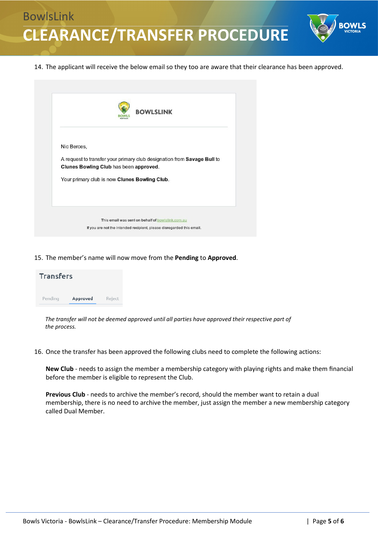

14. The applicant will receive the below email so they too are aware that their clearance has been approved.

| Nic Berces, |                                                                                                                   |
|-------------|-------------------------------------------------------------------------------------------------------------------|
|             | A request to transfer your primary club designation from Savage Bull to<br>Clunes Bowling Club has been approved. |
|             | Your primary club is now Clunes Bowling Club.                                                                     |
|             |                                                                                                                   |

15. The member's name will now move from the **Pending** to **Approved**.

| <b>Transfers</b> |          |        |  |  |  |  |
|------------------|----------|--------|--|--|--|--|
| Pending          | Approved | Reject |  |  |  |  |

*The transfer will not be deemed approved until all parties have approved their respective part of the process.*

16. Once the transfer has been approved the following clubs need to complete the following actions:

**New Club** - needs to assign the member a membership category with playing rights and make them financial before the member is eligible to represent the Club.

**Previous Club** - needs to archive the member's record, should the member want to retain a dual membership, there is no need to archive the member, just assign the member a new membership category called Dual Member.